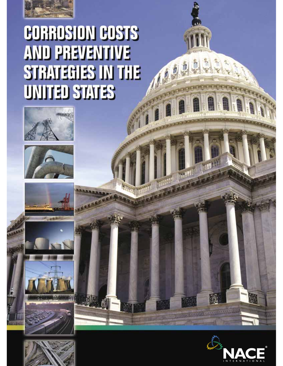

## **CORROSION COSTS AND PREVENTIVE STRATEGIES IN THE UNITED STATES**













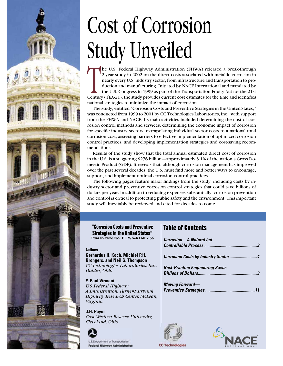

he U.S. Federal Highway Administration (FHWA) released a break-through 2-year study in 2002 on the direct costs associated with metallic corrosion in nearly every U.S. industry sector, from infrastructure and transportation to production and manufacturing. Initiated by NACE International and mandated by the U.S. Congress in 1999 as part of the Transportation Equity Act for the 21st Century (TEA-21), the study provides current cost estimates for the time and identifies national strategies to minimize the impact of corrosion.

The study, entitled "Corrosion Costs and Preventive Strategies in the United States," was conducted from 1999 to 2001 by CC Technologies Laboratories, Inc., with support from the FHWA and NACE. Its main activities included determining the cost of corrosion control methods and services, determining the economic impact of corrosion for specific industry sectors, extrapolating individual sector costs to a national total corrosion cost, assessing barriers to effective implementation of optimized corrosion control practices, and developing implementation strategies and cost-saving recommendations.

Results of the study show that the total annual estimated direct cost of corrosion in the U.S. is a staggering \$276 billion—approximately 3.1% of the nation's Gross Domestic Product (GDP). It reveals that, although corrosion management has improved over the past several decades, the U.S. must find more and better ways to encourage, support, and implement optimal corrosion control practices.

The following pages feature major findings from the study, including costs by industry sector and preventive corrosion control strategies that could save billions of dollars per year. In addition to reducing expenses substantially, corrosion prevention and control is critical to protecting public safety and the environment. This important study will inevitably be reviewed and cited for decades to come.

**"Corrosion Costs and Preventive Strategies in the United States" PUBLICATION NO. FHWA-RD-01-156**

#### **Authors**

**Gerhardus H. Koch, Michiel P.H. Brongers, and Neil G. Thompson** *CC Technologies Laboratories, Inc., Dublin, Ohio*

**Y. Paul Virmani** *U.S. Federal Highway Administration, Turner-Fairbank Highway Research Center, McLean, Virginia*

**J.H. Payer** *Case Western Reserve University, Cleveland, Ohio*



U.S. Department of Transportation **Federal Highway Administration** 

## **Table of Contents**

| <b>Corrosion—A Natural but</b>                                       |  |
|----------------------------------------------------------------------|--|
|                                                                      |  |
| <b>Best-Practice Engineering Saves</b><br><b>Billions of Dollars</b> |  |
| <b>Moving Forward—</b>                                               |  |





**CC Technologies**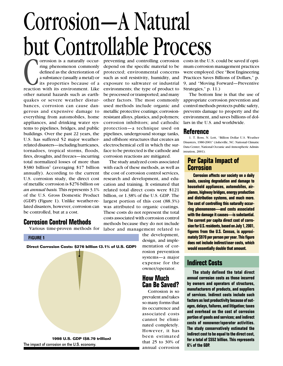# Corrosion—A Natural but Controllable Process

orrosion is a naturally occurring phenomenon commonly<br>defined as the deterioration of<br>a substance (usually a metal) or<br>its properties because of a<br>reaction with its environment. Like ring phenomenon commonly defined as the deterioration of a substance (usually a metal) or its properties because of a other natural hazards such as earthquakes or severe weather disturbances, corrosion can cause dangerous and expensive damage to everything from automobiles, home appliances, and drinking water systems to pipelines, bridges, and public buildings. Over the past 22 years, the U.S. has suffered 52 major weatherrelated disasters—including hurricanes, tornadoes, tropical storms, floods, fires, droughts, and freezes—incurring total normalized losses of more than \$380 billion<sup>1</sup> (averaging \$17 billion annually). According to the current U.S. corrosion study, the direct cost of metallic corrosion is \$276 billion *on an annual basis.* This represents 3.1% of the U.S. Gross Domestic Product (GDP) (Figure 1). Unlike weather-related disasters, however, corrosion can be controlled, but at a cost.

## **Corrosion Control Methods**

Various time-proven methods for

protected; environmental concerns such as soil resistivity, humidity, and exposure to saltwater or industrial environments; the type of product to be processed or transported; and many other factors. The most commonly used methods include organic and metallic protective coatings; corrosionresistant alloys, plastics, and polymers; corrosion inhibitors; and cathodic protection—a technique used on pipelines, underground storage tanks, and offshore structures that creates an electrochemical cell in which the surface to be protected is the cathode and corrosion reactions are mitigated.

depend on the specific material to be

The study analyzed costs associated with each of these methods, as well as the cost of corrosion control services, research and development, and education and training. It estimated that related total direct costs were \$121 billion, or 1.38% of the U.S. GDP. The largest portion of this cost (88.3%) was attributed to organic coatings. These costs do not represent the total costs associated with corrosion control methods because they do not include labor and management related to

**FIGURE 1**



The impact of corrosion on the U.S. economy.

the development, design, and implementation of corrosion prevention systems—a major expense for the owner/operator.

## **How Much Can Be Saved?**

Corrosion is so prevalent and takes so many forms that its occurrence and associated costs cannot be eliminated completely. However, it has been estimated that 25 to 30% of annual corrosion

preventing and controlling corrosion costs in the U.S. could be saved if optimum corrosion management practices were employed. (See "Best Engineering Practices Saves Billions of Dollars," p. 9, and "Moving Forward—Preventive Strategies," p. 11.)

> The bottom line is that the use of appropriate corrosion prevention and control methods protects public safety, prevents damage to property and the environment, and saves billions of dollars in the U.S. and worldwide.

## **Reference**

1. T. Ross, N. Lott, "Billion Dollar U.S. Weather Disasters, 1980-2001" (Asheville, NC: National Climatic Data Center, National Oceanic and Atmospheric Administration, 2001).

## **Per Capita Impact of Corrosion**

**Corrosion affects our society on a daily basis, causing degradation and damage to household appliances, automobiles, airplanes, highway bridges, energy production and distribution systems, and much more. The cost of controlling this naturally occurring phenomenon—and costs associated with the damage it causes—is substantial. The current per capita direct cost of corrosion for U.S. residents, based on July 1, 2001,**  figures from the U.S. Census, is approxi**mately \$970 per person per year. This figure does not include indirect/user costs, which would essentially double that amount.**

## **Indirect Costs**

**The study defined the total direct annual corrosion costs as those incurred by owners and operators of structures, manufacturers of products, and suppliers of services. Indirect costs include such factors as lost productivity because of outages, delays, failures, and litigation; taxes and overhead on the cost of corrosion portion of goods and services; and indirect costs of nonowner/operator activities. The study conservatively estimated the indirect cost to be equal to the direct cost, for a total of \$552 billion. This represents 6% of the GDP.**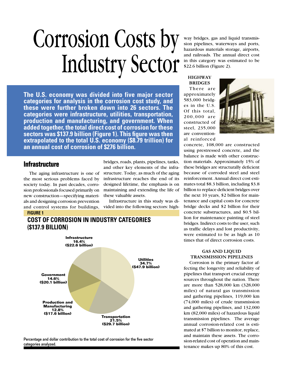## Corrosion Costs by Industry Sector

**The U.S. economy was divided into five major sector categories for analysis in the corrosion cost study, and these were further broken down into 26 sectors. The categories were infrastructure, utilities, transportation, production and manufacturing, and government. When added together, the total direct cost of corrosion for these**  sectors was \$137.9 billion (Figure 1). This figure was then **extrapolated to the total U.S. economy (\$8.79 trillion) for an annual cost of corrosion of \$276 billion.**

> bridges, roads, plants, pipelines, tanks, and other key elements of the infrastructure. Today, as much of the aging infrastructure reaches the end of its designed lifetime, the emphasis is on maintaining and extending the life of

> Infrastructure in this study was divided into the following sectors: high-

these valuable assets.

## **Infrastructure**

The aging infrastructure is one of the most serious problems faced by society today. In past decades, corrosion professionals focused primarily on new construction—specifying materials and designing corrosion prevention and control systems for buildings,

#### **FIGURE 1**





Percentage and dollar contribution to the total cost of corrosion for the five sector categories analyzed.

way bridges, gas and liquid transmission pipelines, waterways and ports, hazardous materials storage, airports, and railroads. The annual direct cost in this category was estimated to be \$22.6 billion (Figure 2).

#### **HIGHWAY BRIDGES**

There are approximately 583,000 bridges in the U.S. Of this total, 200,000 are constructed of steel, 235,000 are conventional reinforced



concrete, 108,000 are constructed using prestressed concrete, and the balance is made with other construction materials. Approximately 15% of these bridges are structurally deficient because of corroded steel and steel reinforcement. Annual direct cost estimates total \$8.3 billion, including \$3.8 billion to replace deficient bridges over the next 10 years, \$2 billion for maintenance and capital costs for concrete bridge decks and \$2 billion for their concrete substructures, and \$0.5 billion for maintenance painting of steel bridges. Indirect costs to the user, such as traffic delays and lost productivity, were estimated to be as high as 10 times that of direct corrosion costs.

#### **GAS AND LIQUID TRANSMISSION PIPELINES**

Corrosion is the primary factor affecting the longevity and reliability of pipelines that transport crucial energy sources throughout the nation. There are more than 528,000 km (328,000 miles) of natural gas transmission and gathering pipelines, 119,000 km (74,000 miles) of crude transmission and gathering pipelines, and 132,000 km (82,000 miles) of hazardous liquid transmission pipelines. The average annual corrosion-related cost is estimated at \$7 billion to monitor, replace, and maintain these assets. The corrosion-related cost of operation and maintenance makes up 80% of this cost.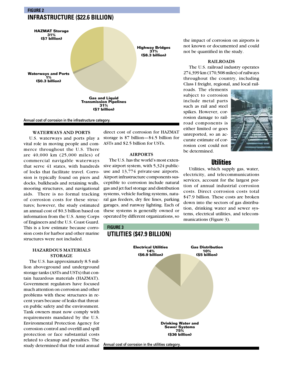## **FIGURE 2 INFRASTRUCTURE (\$22.6 BILLION)**



Annual cost of corrosion in the infrastructure category.

#### **WATERWAYS AND PORTS**

U.S. waterways and ports play a vital role in moving people and commerce throughout the U.S. There are 40,000 km (25,000 miles) of commercial navigable waterways that serve 41 states, with hundreds of locks that facilitate travel. Corrosion is typically found on piers and docks, bulkheads and retaining walls, mooring structures, and navigational aids. There is no formal tracking of corrosion costs for these structures; however, the study estimated an annual cost of \$0.3 billion based on information from the U.S. Army Corps of Engineers and the U.S. Coast Guard. This is a low estimate because corrosion costs for harbor and other marine structures were not included.

#### **HAZARDOUS MATERIALS STORAGE**

The U.S. has approximately 8.5 million aboveground and underground storage tanks (ASTs and USTs) that contain hazardous materials (HAZMAT). Government regulators have focused much attention on corrosion and other problems with these structures in recent years because of leaks that threaten public safety and the environment. Tank owners must now comply with requirements mandated by the U.S. Environmental Protection Agency for corrosion control and overfill and spill protection or face substantial costs related to cleanup and penalties. The study determined that the total annual

direct cost of corrosion for HAZMAT storage is \$7 billion—\$4.5 billion for ASTs and \$2.5 billion for USTs.

#### **AIRPORTS**

The U.S. has the world's most extensive airport system, with 5,324 publicuse and 13,774 private-use airports. Airport infrastructure components susceptible to corrosion include natural gas and jet fuel storage and distribution systems, vehicle fueling systems, natural gas feeders, dry fire lines, parking garages, and runway lighting. Each of these systems is generally owned or operated by different organizations, so

**UTILITIES (\$47.9 BILLION)**

**FIGURE 3**

the impact of corrosion on airports is not known or documented and could not be quantified in the study.

#### **RAILROADS**

The U.S. railroad industry operates 274,399 km (170,508 miles) of railways throughout the country, including Class I freight, regional, and local rail-

roads. The elements subject to corrosion include metal parts such as rail and steel spikes. However, corrosion damage to railroad components is either limited or goes unreported, so an accurate estimate of corrosion cost could not be determined.



## **Utilities**

Utilities, which supply gas, water, electricity, and telecommunications services, account for the largest portion of annual industrial corrosion costs. Direct corrosion costs total \$47.9 billion. These costs are broken down into the sectors of gas distribution, drinking water and sewer systems, electrical utilities, and telecommunications (Figure 3).



Annual cost of corrosion in the utilities category.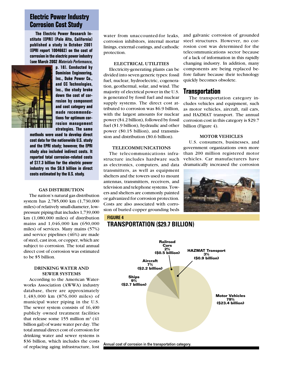## **Electric Power Industry Corrosion Cost Study**

**The Electric Power Research Institute (EPRI) (Palo Alto, California) published a study in October 2001 (EPRI report 1004662) on the cost of corrosion in the electric power industry (see March 2002** *Materials Performance***,** 



**p. 18). Conducted by Dominion Engineering, Inc., Duke Power Co., and CC Technologies, Inc., the study broke down the cost of corrosion by component and cost category and made recommendations for optimum corrosion management strategies. The same** 

**methods were used to develop direct cost data for the nationwide U.S. study and the EPRI study; however, the EPRI study also included indirect costs. It reported total corrosion-related costs of \$17.3 billion for the electric power industry vs the \$6.9 billion in direct costs estimated by the U.S. study.** 

#### **GAS DISTRIBUTION**

The nation's natural gas distribution system has 2,785,000 km (1,730,000 miles) of relatively small-diameter, lowpressure piping that includes 1,739,000 km (1,080,000 miles) of distribution mains and 1,046,000 km (650,000 miles) of services. Many mains (57%) and service pipelines (46%) are made of steel, cast iron, or copper, which are subject to corrosion. The total annual direct cost of corrosion was estimated to be \$5 billion.

#### **DRINKING WATER AND SEWER SYSTEMS**

According to the American Waterworks Association (AWWA) industry database, there are approximately 1,483,000 km (876,000 miles) of municipal water piping in the U.S. The sewer system consists of 16,400 publicly owned treatment facilities that release some  $155$  million m<sup>3</sup>  $(41)$ billion gal) of waste water per day. The total annual direct cost of corrosion for drinking water and sewer systems is \$36 billion, which includes the costs of replacing aging infrastructure, lost water from unaccounted-for leaks, corrosion inhibitors, internal mortar linings, external coatings, and cathodic protection.

#### **ELECTRICAL UTILITIES**

Electricity-generating plants can be divided into seven generic types: fossil fuel, nuclear, hydroelectric, cogeneration, geothermal, solar, and wind. The majority of electrical power in the U.S. is generated by fossil fuel and nuclear supply systems. The direct cost attributed to corrosion was \$6.9 billion, with the largest amounts for nuclear power (\$4.2 billion), followed by fossil fuel (\$1.9 billion), hydraulic and other power (\$0.15 billion), and transmission and distribution (\$0.6 billion).

#### **TELECOMMUNICATIONS**

The telecommunications infrastructure includes hardware such as electronics, computers, and data transmitters, as well as equipment shelters and the towers used to mount antennas, transmitters, receivers, and television and telephone systems. Towers and shelters are commonly painted or galvanized for corrosion protection. Costs are also associated with corrosion of buried copper grounding beds and galvanic corrosion of grounded steel structures. However, no corrosion cost was determined for the telecommunications sector because of a lack of information in this rapidly changing industry. In addition, many components are being replaced before failure because their technology quickly becomes obsolete.

### **Transportation**

The transportation category includes vehicles and equipment, such as motor vehicles, aircraft, rail cars, and HAZMAT transport. The annual corrosion cost in this category is \$29.7 billion (Figure 4).

#### **MOTOR VEHICLES**

U.S. consumers, businesses, and government organizations own more than 200 million registered motor vehicles. Car manufacturers have dramatically increased the corrosion



#### **FIGURE 4**

## **TRANSPORTATION (\$29.7 BILLION)**

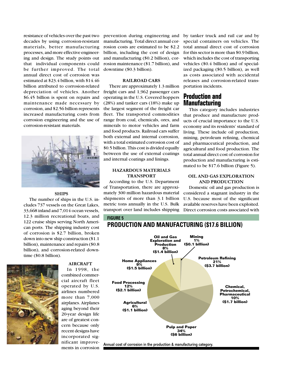resistance of vehicles over the past two decades by using corrosion-resistant materials, better manufacturing processes, and more effective engineering and design. The study points out that individual components could be further improved. The total annual direct cost of corrosion was estimated at \$23.4 billion, with \$14.46 billion attributed to corrosion-related depreciation of vehicles. Another \$6.45 billion is spent on repairs and maintenance made necessary by corrosion, and \$2.56 billion represents increased manufacturing costs from corrosion engineering and the use of corrosion-resistant materials.



#### **SHIPS**

The number of ships in the U.S. includes 737 vessels on the Great Lakes, 33,668 inland and 7,014 ocean vessels, 12.3 million recreational boats, and 122 cruise ships serving North American ports. The shipping industry cost of corrosion is \$2.7 billion, broken down into new ship construction (\$1.1 billion), maintenance and repairs (\$0.8 billion), and corrosion-related downtime (\$0.8 billion).



**AIRCRAFT** In 1998, the

combined commercial aircraft fleet operated by U.S. airlines numbered more than 7,000 airplanes. Airplanes aging beyond their 20-year design life are of greatest concern because only recent designs have incorporated significant improvements in corrosion prevention during engineering and manufacturing. Total direct annual corrosion costs are estimated to be \$2.2 billion, including the cost of design and manufacturing (\$0.2 billion), corrosion maintenance (\$1.7 billion), and downtime (\$0.3 billion).

#### **RAILROAD CARS**

There are approximately 1.3 million freight cars and 1,962 passenger cars operating in the U.S. Covered hoppers (28%) and tanker cars (18%) make up the largest segment of the freight car fleet. The transported commodities range from coal, chemicals, ores, and minerals to motor vehicles and farm and food products. Railroad cars suffer both external and internal corrosion, with a total estimated corrosion cost of \$0.5 billion. This cost is divided equally between the use of external coatings and internal coatings and linings.

#### **HAZARDOUS MATERIALS TRANSPORT**

According to the U.S. Department of Transportation, there are approximately 300 million hazardous material shipments of more than 3.1 billion metric tons annually in the U.S. Bulk transport over land includes shipping by tanker truck and rail car and by special containers on vehicles. The total annual direct cost of corrosion for this sector is more than \$0.9 billion, which includes the cost of transporting vehicles (\$0.4 billion) and of specialized packaging (\$0.5 billion), as well as costs associated with accidental releases and corrosion-related transportation incidents.

## **Production and Manufacturing**

This category includes industries that produce and manufacture products of crucial importance to the U.S. economy and its residents' standard of living. These include oil production, mining, petroleum refining, chemical and pharmaceutical production, and agricultural and food production. The total annual direct cost of corrosion for production and manufacturing is estimated to be \$17.6 billion (Figure 5).

#### **OIL AND GAS EXPLORATION AND PRODUCTION**

Domestic oil and gas production is considered a stagnant industry in the U.S. because most of the significant available reserves have been exploited. Direct corrosion costs associated with

#### **FIGURE 5**



Annual cost of corrosion in the production & manufacturing category.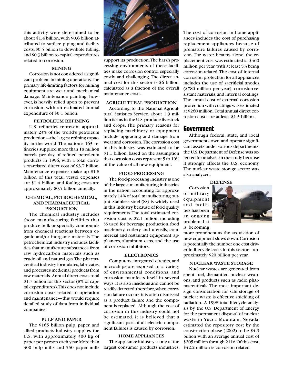this activity were determined to be about \$1.4 billion, with \$0.6 billion attributed to surface piping and facility costs, \$0.5 billion to downhole tubing, and \$0.3 billion to capital expenditures related to corrosion.

#### **MINING**

Corrosion is not considered a significant problem in mining operations. The primary life-limiting factors for mining equipment are wear and mechanical damage. Maintenance painting, however, is heavily relied upon to prevent corrosion, with an estimated annual expenditure of \$0.1 billion.

#### **PETROLEUM REFINING**

U.S. refineries represent approximately 23% of the world's petroleum production—the largest refining capacity in the world. The nation's 163 refineries supplied more than 18 million barrels per day of refined petroleum products in 1996, with a total corrosion-related direct cost of \$3.7 billion. Maintenance expenses make up \$1.8 billion of this total, vessel expenses are \$1.4 billion, and fouling costs are approximately \$0.5 billion annually.

#### **CHEMICAL, PETROCHEMICAL, AND PHARMACEUTICAL PRODUCTION**

The chemical industry includes those manufacturing facilities that produce bulk or specialty compounds from chemical reactions between organic and/or inorganic materials. The petrochemical industry includes facilities that manufacture substances from raw hydrocarbon materials such as crude oil and natural gas. The pharmaceutical industry formulates, fabricates, and processes medicinal products from raw materials. Annual direct costs total \$1.7 billion for this sector (8% of capital expenditures). This does not include corrosion costs related to operation and maintenance—this would require detailed study of data from individual companies.

#### **PULP AND PAPER**

The \$165 billion pulp, paper, and allied products industry supplies the U.S. with approximately 300 kg of paper per person each year. More than 300 pulp mills and 550 paper mills



support its production. The harsh processing environments of these facilities make corrosion control especially costly and challenging. The direct annual cost for this sector is \$6 billion, calculated as a fraction of the overall maintenance costs.

#### **AGRICULTURAL PRODUCTION**

According to the National Agricultural Statistics Service, about 1.9 million farms in the U.S. produce livestock and crops. The primary reasons for replacing machinery or equipment include upgrading and damage from wear and corrosion. The corrosion cost in this industry was estimated to be \$1.1 billion, based on the assumption that corrosion costs represent 5 to 10% of the value of all new equipment.

#### **FOOD PROCESSING**

The food-processing industry is one of the largest manufacturing industries in the nation, accounting for approximately 14% of total manufacturing output. Stainless steel (SS) is widely used in this industry because of food quality requirements. The total estimated corrosion cost is \$2.1 billion, including SS used for beverage production, food machinery, cutlery and utensils, commercial and restaurant equipment, appliances, aluminum cans, and the use of corrosion inhibitors.

#### **ELECTRONICS**

Computers, integrated circuits, and microchips are exposed to a variety of environmental conditions, and corrosion manifests itself in several ways. It is also insidious and cannot be readily detected; therefore, when corrosion failure occurs, it is often dismissed as a product failure and the component is replaced. Although the cost of corrosion in this industry could not be estimated, it is believed that a significant part of all electric component failures is caused by corrosion.

#### **HOME APPLIANCES**

The appliance industry is one of the largest consumer products industries. \$42.2 million is corrosion-related.

The cost of corrosion in home appliances includes the cost of purchasing replacement appliances because of premature failures caused by corrosion. For water heaters alone, the replacement cost was estimated at \$460 million per year, with at least 5% being corrosion-related. The cost of internal corrosion protection for all appliances includes the use of sacrificial anodes (\$780 million per year), corrosion-resistant materials, and internal coatings. The annual cost of external corrosion protection with coatings was estimated at \$260 million. Total annual direct corrosion costs are at least \$1.5 billion.

#### **Government**

Although federal, state, and local governments own and operate significant assets under various departments, the U.S. Department of Defense was selected for analysis in the study because it strongly affects the U.S. economy. The nuclear waste storage sector was also analyzed.

#### **DEFENSE**

Corrosion of military equipment and facilities has been an ongoing problem that is becoming

more prominent as the acquisition of new equipment slows down. Corrosion is potentially the number one cost driver in lifecycle costs in this sector—approximately \$20 billion per year.

#### **NUCLEAR WASTE STORAGE**

Nuclear wastes are generated from spent fuel, dismantled nuclear weapons, and products such as radio pharmaceuticals. The most important design consideration for safe storage of nuclear waste is effective shielding of radiation. A 1998 total lifecycle analysis by the U.S. Department of Energy for the permanent disposal of nuclear waste in Yucca Mountain, Nevada, estimated the repository cost by the construction phase (2002) to be \$4.9 billion with an average annual cost of \$205 million through 2116.Of this cost,

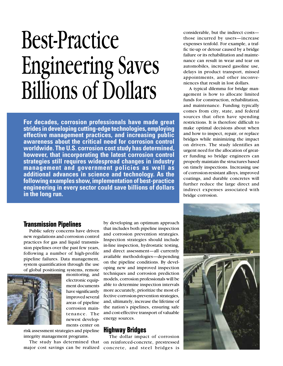## Best-Practice Engineering Saves Billions of Dollars

**For decades, corrosion professionals have made great strides in developing cutting-edge technologies, employing effective management practices, and increasing public awareness about the critical need for corrosion control worldwide. The U.S. corrosion cost study has determined, however, that incorporating the latest corrosion control strategies still requires widespread changes in industry management and government policies as well as additional advances in science and technology. As the following examples show, implementation of best-practice engineering in every sector could save billions of dollars in the long run.**

considerable, but the indirect costs those incurred by users—increase expenses tenfold. For example, a traffic tie-up or detour caused by a bridge failure or its rehabilitation and maintenance can result in wear and tear on automobiles, increased gasoline use, delays in product transport, missed appointments, and other inconveniences that result in lost dollars.

A typical dilemma for bridge management is how to allocate limited funds for construction, rehabilitation, and maintenance. Funding typically comes from city, state, and federal sources that often have spending restrictions. It is therefore difficult to make optimal decisions about when and how to inspect, repair, or replace bridges while minimizing the impact on drivers. The study identifies an urgent need for the allocation of greater funding so bridge engineers can properly maintain the structures based on timely inspections. Increasing use of corrosion-resistant alloys, improved coatings, and durable concretes will further reduce the large direct and indirect expenses associated with bridge corrosion.

### **Transmission Pipelines**

Public safety concerns have driven new regulations and corrosion control practices for gas and liquid transmission pipelines over the past few years, following a number of high-profile pipeline failures. Data management, system quantification through the use of global positioning systems, remote



monitoring, and electronic equipment documents have significantly improved several areas of pipeline corrosion maintenance. The newest developments center on

risk assessment strategies and pipeline integrity management programs.

The study has determined that major cost savings can be realized

by developing an optimum approach that includes both pipeline inspection and corrosion prevention strategies. Inspection strategies should include in-line inspection, hydrostatic testing, and direct assessment—all currently available methodologies—depending on the pipeline conditions. By developing new and improved inspection techniques and corrosion prediction models, corrosion professionals will be able to determine inspection intervals more accurately, prioritize the most effective corrosion-prevention strategies, and, ultimately, increase the lifetime of the nation's pipelines, ensuring safe and cost-effective transport of valuable energy sources.

## **Highway Bridges**

The dollar impact of corrosion on reinforced-concrete, prestressed concrete, and steel bridges is

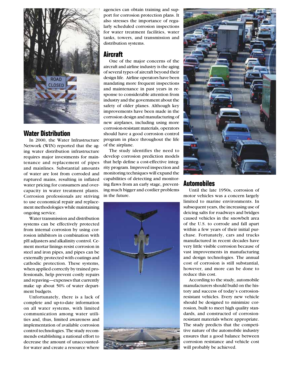

## **Water Distribution**

In 2000, the Water Infrastructure Network (WIN) reported that the aging water distribution infrastructure requires major investments for maintenance and replacement of pipes and mainlines. Substantial amounts of water are lost from corroded and ruptured mains, resulting in inflated water pricing for consumers and overcapacity in water treatment plants. Corrosion professionals are striving to use economical repair and replacement methodologies while maintaining ongoing service.

Water transmission and distribution systems can be effectively protected from internal corrosion by using corrosion inhibitors in combination with pH adjusters and alkalinity control. Cement mortar linings resist corrosion in steel and iron pipes, and pipes can be externally protected with coatings and cathodic protection. These systems, when applied correctly by trained professionals, help prevent costly repairs and repaving—expenses that currently make up about 50% of water department budgets.

Unfortunately, there is a lack of complete and up-to-date information on all water systems, with limited communication among water utilities and, thus, limited awareness and implementation of available corrosion control technologies. The study recommends establishing a national effort to decrease the amount of unaccountedfor water and create a resource where agencies can obtain training and support for corrosion protection plans. It also stresses the importance of regularly scheduled corrosion inspections for water treatment facilities, water tanks, towers, and transmission and distribution systems.

## **Aircraft**

One of the major concerns of the aircraft and airline industry is the aging of several types of aircraft beyond their design life. Airline operators have been mandating more frequent inspections and maintenance in past years in response to considerable attention from industry and the government about the safety of older planes. Although key improvements have been made in the corrosion design and manufacturing of new airplanes, including using more corrosion-resistant materials, operators should have a good corrosion control program in place throughout the life of the airplane.

The study identifies the need to develop corrosion prediction models that help define a cost-effective integrity program. Improved inspection and monitoring techniques will expand the capabilities of detecting and monitoring flaws from an early stage, preventing much bigger and costlier problems in the future.





## **Automobiles**

Until the late 1950s, corrosion of motor vehicles was a concern largely limited to marine environments. In subsequent years, the increasing use of deicing salts for roadways and bridges caused vehicles in the snowbelt area of the U.S. to corrode and fall apart within a few years of their initial purchase. Fortunately, cars and trucks manufactured in recent decades have very little visible corrosion because of vast improvements in manufacturing and design technologies. The annual cost of corrosion is still substantial, however, and more can be done to reduce this cost.

According to the study, automobile manufacturers should build on the history and success of today's corrosionresistant vehicles. Every new vehicle should be designed to minimize corrosion, built to meet high quality standards, and constructed of corrosionresistant materials where appropriate. The study predicts that the competitive nature of the automobile industry ensures that a good balance between corrosion resistance and vehicle cost will probably be achieved.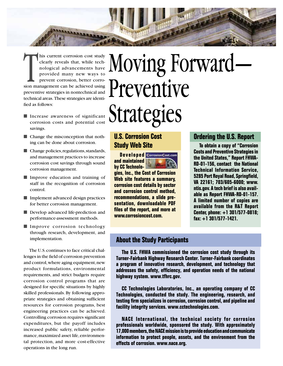his current corrosion cost study<br>clearly reveals that, while tech-<br>nological advancements have<br>provided many new ways to<br>prevent corrosion, better corro-<br>sion management can be achieved using clearly reveals that, while technological advancements have provided many new ways to prevent corrosion, better corropreventive strategies in nontechnical and technical areas. These strategies are identified as follows:

**LABBARAS** 

- Increase awareness of significant corrosion costs and potential cost savings.
- Change the misconception that nothing can be done about corrosion.
- Change policies, regulations, standards, and management practices to increase corrosion cost savings through sound corrosion management.
- Improve education and training of staff in the recognition of corrosion control.
- Implement advanced design practices for better corrosion management.
- Develop advanced life-prediction and performance-assessment methods.
- Improve corrosion technology through research, development, and implementation.

The U.S. continues to face critical challenges in the field of corrosion prevention and control, where aging equipment, new product formulations, environmental requirements, and strict budgets require corrosion control programs that are designed for specific situations by highly skilled professionals. By following appropriate strategies and obtaining sufficient resources for corrosion programs, best engineering practices can be achieved. Controlling corrosion requires significant expenditures, but the payoff includes increased public safety, reliable performance, maximized asset life, environmental protection, and more cost-effective operations in the long run.

## Moving Forward— Preventive Strategies

## **U.S. Corrosion Cost Study Web Site**

**Developed** CorrosionCost.com **and maintained by CC Technologies, Inc., the Cost of Corrosion Web site features a summary, corrosion cost details by sector and corrosion control method, recommendations, a slide presentation, downloadable PDF fi les of the report, and more at www.corrosioncost.com.**

## **Ordering the U.S. Report**

**To obtain a copy of "Corrosion Costs and Preventive Strategies in the United States," Report FHWA-RD-01-156, contact the National Technical Information Service, 5285 Port Royal Road, Springfield, VA 22161; 703/605-6000; www. ntis.gov. A tech brief is also available as Report FHWA-RD-01-157. A limited number of copies are available from the R&T Report Center, phone: +1 301/577-0818; fax: +1 301/577-1421.**

## **About the Study Participants**

**The U.S. FHWA commissioned the corrosion cost study through its Turner-Fairbank Highway Research Center. Turner-Fairbank coordinates a program of innovative research, development, and technology that**  addresses the safety, efficiency, and operation needs of the national **highway system. www.tfhrc.gov.** 

**CC Technologies Laboratories, Inc., an operating company of CC Technologies, conducted the study. The engineering, research, and**  testing firm specializes in corrosion, corrosion control, and pipeline and **facility integrity services. www.cctechnologies.com.**

**NACE International, the technical society for corrosion professionals worldwide, sponsored the study. With approximately 17,000 members, the NACE mission is to provide education and communicate information to protect people, assets, and the environment from the effects of corrosion. www.nace.org.**